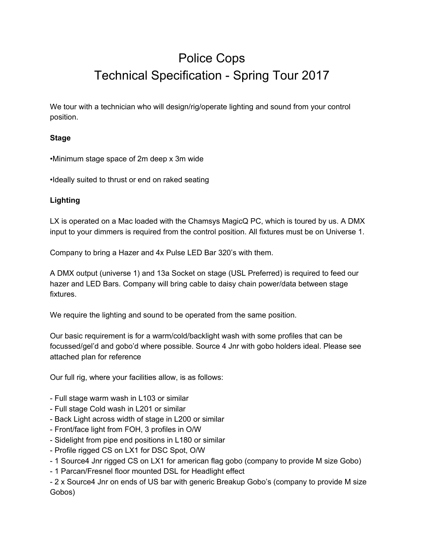# Police Cops Technical Specification - Spring Tour 2017

We tour with a technician who will design/rig/operate lighting and sound from your control position.

## **Stage**

•Minimum stage space of 2m deep x 3m wide

•Ideally suited to thrust or end on raked seating

### **Lighting**

LX is operated on a Mac loaded with the Chamsys MagicQ PC, which is toured by us. A DMX input to your dimmers is required from the control position. All fixtures must be on Universe 1.

Company to bring a Hazer and 4x Pulse LED Bar 320's with them.

A DMX output (universe 1) and 13a Socket on stage (USL Preferred) is required to feed our hazer and LED Bars. Company will bring cable to daisy chain power/data between stage fixtures.

We require the lighting and sound to be operated from the same position.

Our basic requirement is for a warm/cold/backlight wash with some profiles that can be focussed/gel'd and gobo'd where possible. Source 4 Jnr with gobo holders ideal. Please see attached plan for reference

Our full rig, where your facilities allow, is as follows:

- Full stage warm wash in L103 or similar
- Full stage Cold wash in L201 or similar
- Back Light across width of stage in L200 or similar
- Front/face light from FOH, 3 profiles in O/W
- Sidelight from pipe end positions in L180 or similar
- Profile rigged CS on LX1 for DSC Spot, O/W
- 1 Source4 Jnr rigged CS on LX1 for american flag gobo (company to provide M size Gobo)
- 1 Parcan/Fresnel floor mounted DSL for Headlight effect

- 2 x Source4 Jnr on ends of US bar with generic Breakup Gobo's (company to provide M size Gobos)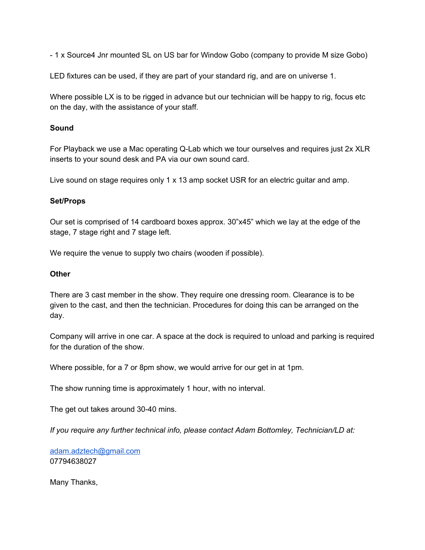- 1 x Source4 Jnr mounted SL on US bar for Window Gobo (company to provide M size Gobo)

LED fixtures can be used, if they are part of your standard rig, and are on universe 1.

Where possible LX is to be rigged in advance but our technician will be happy to rig, focus etc on the day, with the assistance of your staff.

#### **Sound**

For Playback we use a Mac operating Q-Lab which we tour ourselves and requires just 2x XLR inserts to your sound desk and PA via our own sound card.

Live sound on stage requires only 1 x 13 amp socket USR for an electric guitar and amp.

#### **Set/Props**

Our set is comprised of 14 cardboard boxes approx. 30"x45" which we lay at the edge of the stage, 7 stage right and 7 stage left.

We require the venue to supply two chairs (wooden if possible).

#### **Other**

There are 3 cast member in the show. They require one dressing room. Clearance is to be given to the cast, and then the technician. Procedures for doing this can be arranged on the day.

Company will arrive in one car. A space at the dock is required to unload and parking is required for the duration of the show.

Where possible, for a 7 or 8pm show, we would arrive for our get in at 1pm.

The show running time is approximately 1 hour, with no interval.

The get out takes around 30-40 mins.

*If you require any further technical info, please contact Adam Bottomley, Technician/LD at:*

[adam.adztech@gmail.com](mailto:adam.adztech@gmail.com) 07794638027

Many Thanks,